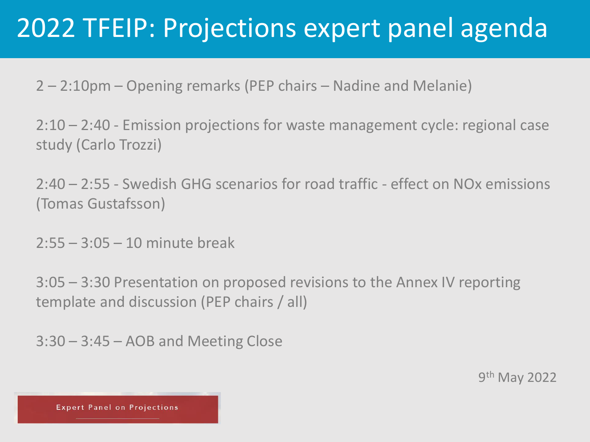2 – 2:10pm – Opening remarks (PEP chairs – Nadine and Melanie)

2:10 – 2:40 - Emission projections for waste management cycle: regional case study (Carlo Trozzi)

2:40 – 2:55 - Swedish GHG scenarios for road traffic - effect on NOx emissions (Tomas Gustafsson)

2:55 – 3:05 – 10 minute break

3:05 – 3:30 Presentation on proposed revisions to the Annex IV reporting template and discussion (PEP chairs / all)

3:30 – 3:45 – AOB and Meeting Close

9<sup>th</sup> May 2022

**Expert Panel on Projections**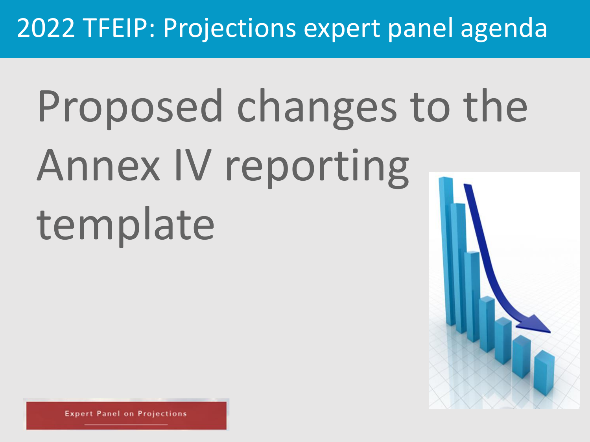# Proposed changes to the Annex IV reporting template

**Panel on Projections**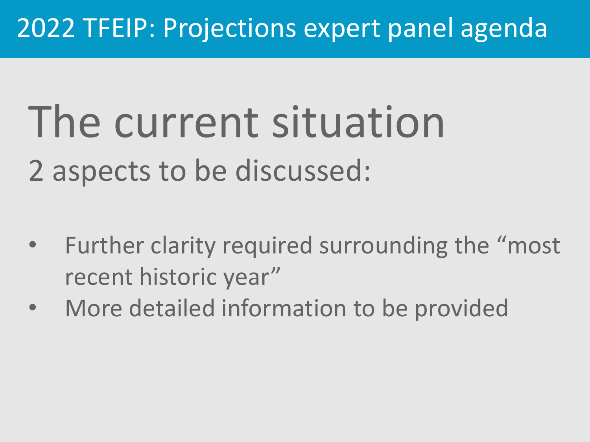# The current situation 2 aspects to be discussed:

- Further clarity required surrounding the "most" recent historic year"
- More detailed information to be provided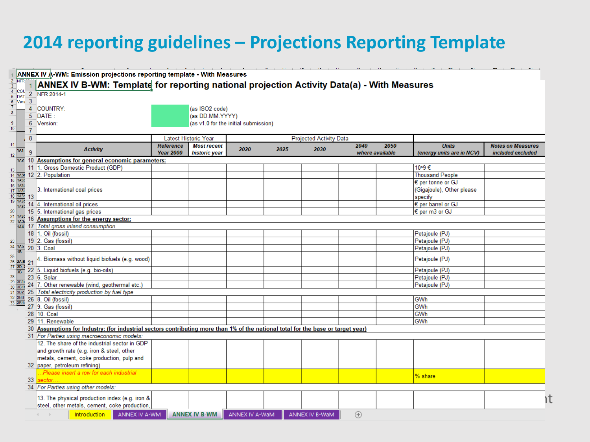#### **2014 reporting guidelines – Projections Reporting Template**

|                            |                  | 1 ANNEX IV A-WM: Emission projections reporting template - With Measures                                                          |                                      |                                     |                                      |      |                         |                         |      |                                           |                                               |  |  |  |
|----------------------------|------------------|-----------------------------------------------------------------------------------------------------------------------------------|--------------------------------------|-------------------------------------|--------------------------------------|------|-------------------------|-------------------------|------|-------------------------------------------|-----------------------------------------------|--|--|--|
| 2 NFR ^^<br>3 <sup>1</sup> |                  | <b>ANNEX IV B-WM: Template for reporting national projection Activity Data(a) - With Measures</b>                                 |                                      |                                     |                                      |      |                         |                         |      |                                           |                                               |  |  |  |
| $\frac{4}{5}$ COU<br>5 DAT |                  | 2 NFR 2014-1                                                                                                                      |                                      |                                     |                                      |      |                         |                         |      |                                           |                                               |  |  |  |
| 6 Vers 3                   |                  |                                                                                                                                   |                                      |                                     |                                      |      |                         |                         |      |                                           |                                               |  |  |  |
|                            |                  | 4 COUNTRY:                                                                                                                        |                                      | (as ISO2 code)                      |                                      |      |                         |                         |      |                                           |                                               |  |  |  |
| 8 <sup>1</sup>             |                  | 5 DATE:                                                                                                                           | (as DD.MM.YYYY)                      |                                     |                                      |      |                         |                         |      |                                           |                                               |  |  |  |
| 9                          | 6                | Version:                                                                                                                          |                                      |                                     | (as v1.0 for the initial submission) |      |                         |                         |      |                                           |                                               |  |  |  |
| 10                         | $\overline{7}$   |                                                                                                                                   |                                      |                                     |                                      |      |                         |                         |      |                                           |                                               |  |  |  |
|                            | $\boldsymbol{8}$ |                                                                                                                                   |                                      | Latest Historic Year                |                                      |      | Projected Activity Data |                         |      |                                           |                                               |  |  |  |
| 11<br>1A1                  | -9               | <b>Activity</b>                                                                                                                   | <b>Reference</b><br><b>Year 2000</b> | <b>Most recent</b><br>historic year | 2020                                 | 2025 | 2030                    | 2040<br>where available | 2050 | <b>Units</b><br>(energy units are in NCV) | <b>Notes on Measures</b><br>included excluded |  |  |  |
| 12                         |                  | $\sqrt{142}$ 10 Assumptions for general economic parameters:                                                                      |                                      |                                     |                                      |      |                         |                         |      |                                           |                                               |  |  |  |
|                            |                  | 11 1. Gross Domestic Product (GDP)                                                                                                |                                      |                                     |                                      |      |                         |                         |      | 10^9€                                     |                                               |  |  |  |
| 13                         |                  | 14 1431 12 2. Population                                                                                                          |                                      |                                     |                                      |      |                         |                         |      | <b>Thousand People</b>                    |                                               |  |  |  |
| $15$ $1A3k$                |                  |                                                                                                                                   |                                      |                                     |                                      |      |                         |                         |      | € per tonne or GJ                         |                                               |  |  |  |
| $16$ $1A3t$<br>$17$ $1A3t$ |                  | 3. International coal prices                                                                                                      |                                      |                                     |                                      |      |                         |                         |      | (Gigajoule), Other please                 |                                               |  |  |  |
| $18 \overline{)1435}$ 13   |                  |                                                                                                                                   |                                      |                                     |                                      |      |                         |                         |      | specify                                   |                                               |  |  |  |
| 19 1A3b                    |                  | $\frac{1435}{1435}$ 14 4. International oil prices                                                                                |                                      |                                     |                                      |      |                         |                         |      | € per barrel or GJ                        |                                               |  |  |  |
|                            |                  | 20 15 5. International gas prices                                                                                                 |                                      |                                     |                                      |      |                         |                         |      | € per m3 or GJ                            |                                               |  |  |  |
| 21 1A3b                    |                  | 16 Assumptions for the energy sector:                                                                                             |                                      |                                     |                                      |      |                         |                         |      |                                           |                                               |  |  |  |
| $22$ 1A3ε                  |                  | 144 17 Total gross inland consumption                                                                                             |                                      |                                     |                                      |      |                         |                         |      |                                           |                                               |  |  |  |
|                            |                  | 18   1. Oil (fossil)                                                                                                              |                                      |                                     |                                      |      |                         |                         |      | Petajoule (PJ)                            |                                               |  |  |  |
| 23                         |                  | 19 2. Gas (fossil)                                                                                                                |                                      |                                     |                                      |      |                         |                         |      | Petajoule (PJ)                            |                                               |  |  |  |
|                            |                  | $\frac{24}{18}$ $\frac{145}{18}$ 20 3. Coal                                                                                       |                                      |                                     |                                      |      |                         |                         |      | Petajoule (PJ)                            |                                               |  |  |  |
| 25                         |                  |                                                                                                                                   |                                      |                                     |                                      |      |                         |                         |      |                                           |                                               |  |  |  |
| $26 \overline{2A,B}$ 21    |                  | 4. Biomass without liquid biofuels (e.g. wood)                                                                                    |                                      |                                     |                                      |      |                         |                         |      | Petajoule (PJ)                            |                                               |  |  |  |
| $27 \overline{2D, 2}$      |                  | $\frac{20.7}{38}$ 22 5. Liquid biofuels (e.g. bio-oils)                                                                           |                                      |                                     |                                      |      |                         |                         |      | Petajoule (PJ)                            |                                               |  |  |  |
|                            |                  | 28 23 6. Solar                                                                                                                    |                                      |                                     |                                      |      |                         |                         |      | Petajoule (PJ)                            |                                               |  |  |  |
| 29 3B1a                    |                  | $\frac{29}{30}$ $\frac{3816}{3811}$ 24 7. Other renewable (wind, geothermal etc.)                                                 |                                      |                                     |                                      |      |                         |                         |      | Petajoule (PJ)                            |                                               |  |  |  |
|                            |                  | 31 3B2 25 Total electricity production by fuel type                                                                               |                                      |                                     |                                      |      |                         |                         |      |                                           |                                               |  |  |  |
| 32 3B3<br>33 3B4a          |                  | 26 8. Oil (fossil)                                                                                                                |                                      |                                     |                                      |      |                         |                         |      | GWh                                       |                                               |  |  |  |
|                            |                  | 27 9. Gas (fossil)                                                                                                                |                                      |                                     |                                      |      |                         |                         |      | GWh                                       |                                               |  |  |  |
|                            |                  | 28 10. Coal                                                                                                                       |                                      |                                     |                                      |      |                         |                         |      | GWh                                       |                                               |  |  |  |
|                            |                  | 29 11. Renewable                                                                                                                  |                                      |                                     |                                      |      |                         |                         |      | GWh                                       |                                               |  |  |  |
|                            |                  | 30 Assumptions for Industry: (for industrial sectors contributing more than 1% of the national total for the base or target year) |                                      |                                     |                                      |      |                         |                         |      |                                           |                                               |  |  |  |
|                            |                  | 31 For Parties using macroeconomic models:                                                                                        |                                      |                                     |                                      |      |                         |                         |      |                                           |                                               |  |  |  |
|                            |                  | 12. The share of the industrial sector in GDP                                                                                     |                                      |                                     |                                      |      |                         |                         |      |                                           |                                               |  |  |  |
|                            |                  | and growth rate (e.g. iron & steel, other                                                                                         |                                      |                                     |                                      |      |                         |                         |      |                                           |                                               |  |  |  |
|                            |                  | metals, cement, coke production, pulp and                                                                                         |                                      |                                     |                                      |      |                         |                         |      |                                           |                                               |  |  |  |
|                            |                  | 32 paper, petroleum refining)                                                                                                     |                                      |                                     |                                      |      |                         |                         |      |                                           |                                               |  |  |  |
|                            |                  | Please insert a row for each industrial                                                                                           |                                      |                                     |                                      |      |                         |                         |      | % share                                   |                                               |  |  |  |
|                            | 33               |                                                                                                                                   |                                      |                                     |                                      |      |                         |                         |      |                                           |                                               |  |  |  |
|                            |                  | 34 For Parties using other models:                                                                                                |                                      |                                     |                                      |      |                         |                         |      |                                           |                                               |  |  |  |
|                            |                  | 13. The physical production index (e.g. iron &                                                                                    |                                      |                                     |                                      |      |                         |                         |      |                                           |                                               |  |  |  |
|                            |                  | steel, other metals, cement, coke production,                                                                                     |                                      |                                     |                                      |      |                         |                         |      |                                           | ١t                                            |  |  |  |
|                            |                  |                                                                                                                                   |                                      |                                     |                                      |      |                         |                         |      |                                           |                                               |  |  |  |
|                            |                  | Introduction<br>ANNEX IV A-WM                                                                                                     |                                      | <b>ANNEX IV B-WM</b>                | ANNEX IV A-WaM                       |      | ANNEX IV B-WaM          | $_{\oplus}$             |      |                                           |                                               |  |  |  |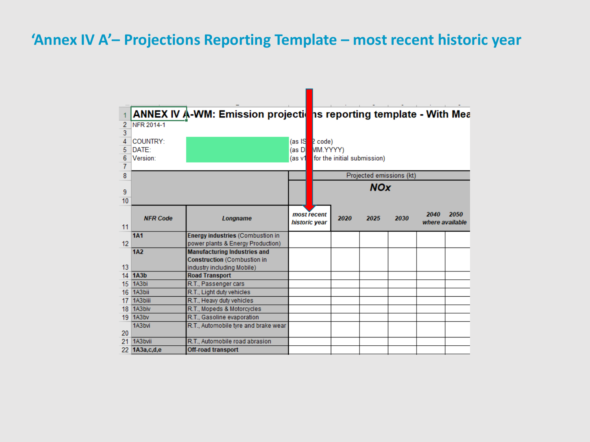#### **'Annex IV A'– Projections Reporting Template – most recent historic year**

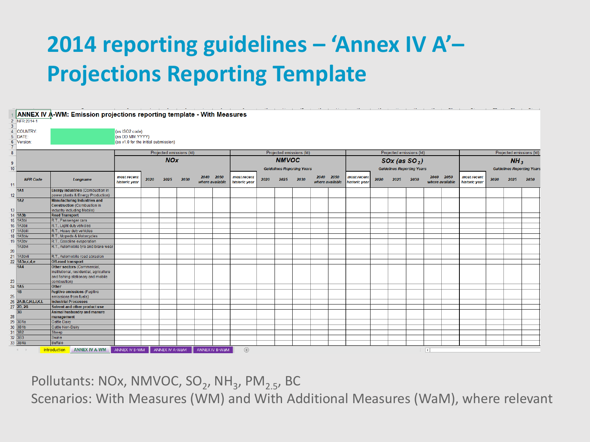### **2014 reporting guidelines – 'Annex IV A'– Projections Reporting Template**

|                               | ↑ ANNEX IV A-WM: Emission projections reporting template - With Measures                                                  |                                      |      |                          |      |                         |      |                                          |      | and the company of the company    |      |                              |                                               |                              |      |      |      |                     |                                   |                              |      |      |      |
|-------------------------------|---------------------------------------------------------------------------------------------------------------------------|--------------------------------------|------|--------------------------|------|-------------------------|------|------------------------------------------|------|-----------------------------------|------|------------------------------|-----------------------------------------------|------------------------------|------|------|------|---------------------|-----------------------------------|------------------------------|------|------|------|
| 2 NFR 2014-1                  |                                                                                                                           |                                      |      |                          |      |                         |      |                                          |      |                                   |      |                              |                                               |                              |      |      |      |                     |                                   |                              |      |      |      |
| 3 <sup>1</sup>                |                                                                                                                           |                                      |      |                          |      |                         |      |                                          |      |                                   |      |                              |                                               |                              |      |      |      |                     |                                   |                              |      |      |      |
| 4 COUNTRY:                    |                                                                                                                           | (as ISO2 code)                       |      |                          |      |                         |      |                                          |      |                                   |      |                              |                                               |                              |      |      |      |                     |                                   |                              |      |      |      |
| 5 DATE:                       |                                                                                                                           | (as DD.MM.YYYY)                      |      |                          |      |                         |      |                                          |      |                                   |      |                              |                                               |                              |      |      |      |                     |                                   |                              |      |      |      |
| 6 Version:                    |                                                                                                                           | (as v1.0 for the initial submission) |      |                          |      |                         |      |                                          |      |                                   |      |                              |                                               |                              |      |      |      |                     |                                   |                              |      |      |      |
| $\mathbf{7}$<br>8             |                                                                                                                           |                                      |      | Projected emissions (kt) |      |                         |      |                                          |      |                                   |      |                              |                                               |                              |      |      |      |                     |                                   |                              |      |      |      |
|                               |                                                                                                                           |                                      |      | <b>NOx</b>               |      |                         |      | Projected emissions (kt)<br><b>NMVOC</b> |      |                                   |      |                              | Projected emissions (kt)<br>$SOx$ (as $SO2$ ) |                              |      |      |      |                     | Projected emissions (kt)          |                              |      |      |      |
| 9 <sup>°</sup>                |                                                                                                                           |                                      |      |                          |      |                         |      |                                          |      |                                   |      |                              |                                               |                              |      |      |      |                     |                                   | NH <sub>3</sub>              |      |      |      |
| 10 <sup>1</sup>               |                                                                                                                           |                                      |      |                          |      |                         |      |                                          |      | <b>Guidelines Reporting Years</b> |      |                              | <b>Guidelines Reporting Years</b>             |                              |      |      |      |                     | <b>Guidelines Reporting Years</b> |                              |      |      |      |
| <b>NFR Code</b><br>11         | Longname                                                                                                                  | most recent<br>historic year         | 2020 | 2025                     | 2030 | 2040<br>where available | 2050 | most recent<br>historic year             | 2020 | 2025                              | 2030 | 2040 2050<br>where available |                                               | most recent<br>historic year | 2020 | 2025 | 2030 |                     | 2040 2050<br>where available      | most recent<br>historic year | 2020 | 2025 | 2030 |
| <b>1A1</b><br>12 <sub>1</sub> | <b>Energy industries (Combustion in</b><br>power plants & Energy Production)                                              |                                      |      |                          |      |                         |      |                                          |      |                                   |      |                              |                                               |                              |      |      |      |                     |                                   |                              |      |      |      |
| 1A2                           | <b>Manufacturing Industries and</b>                                                                                       |                                      |      |                          |      |                         |      |                                          |      |                                   |      |                              |                                               |                              |      |      |      |                     |                                   |                              |      |      |      |
|                               | <b>Construction (Combustion in</b>                                                                                        |                                      |      |                          |      |                         |      |                                          |      |                                   |      |                              |                                               |                              |      |      |      |                     |                                   |                              |      |      |      |
| 13 <sup>°</sup>               | industry including Mobile)                                                                                                |                                      |      |                          |      |                         |      |                                          |      |                                   |      |                              |                                               |                              |      |      |      |                     |                                   |                              |      |      |      |
| $14$ 1A3b                     | <b>Road Transport</b>                                                                                                     |                                      |      |                          |      |                         |      |                                          |      |                                   |      |                              |                                               |                              |      |      |      |                     |                                   |                              |      |      |      |
| 15 1A3bi                      | R.T., Passenger cars                                                                                                      |                                      |      |                          |      |                         |      |                                          |      |                                   |      |                              |                                               |                              |      |      |      |                     |                                   |                              |      |      |      |
| 16 1A3bii                     | R.T., Light duty vehicles                                                                                                 |                                      |      |                          |      |                         |      |                                          |      |                                   |      |                              |                                               |                              |      |      |      |                     |                                   |                              |      |      |      |
| 17 1A3biil                    | R.T., Heavy duty vehicles                                                                                                 |                                      |      |                          |      |                         |      |                                          |      |                                   |      |                              |                                               |                              |      |      |      |                     |                                   |                              |      |      |      |
| <b>18 1A3biv</b><br>19 1A3bv  | R.T., Mopeds & Motorcycles<br>R.T., Gasoline evaporation                                                                  |                                      |      |                          |      |                         |      |                                          |      |                                   |      |                              |                                               |                              |      |      |      |                     |                                   |                              |      |      |      |
| 1A3bvi                        | R.T., Automobile tyre and brake wear                                                                                      |                                      |      |                          |      |                         |      |                                          |      |                                   |      |                              |                                               |                              |      |      |      |                     |                                   |                              |      |      |      |
| 20                            |                                                                                                                           |                                      |      |                          |      |                         |      |                                          |      |                                   |      |                              |                                               |                              |      |      |      |                     |                                   |                              |      |      |      |
| 21 1A3bvii                    | R.T., Automobile road abrasion                                                                                            |                                      |      |                          |      |                         |      |                                          |      |                                   |      |                              |                                               |                              |      |      |      |                     |                                   |                              |      |      |      |
| 22 1A3a,c,d,e                 | <b>Off-road transport</b>                                                                                                 |                                      |      |                          |      |                         |      |                                          |      |                                   |      |                              |                                               |                              |      |      |      |                     |                                   |                              |      |      |      |
| 1A4<br>23                     | Other sectors (Commercial,<br>institutional, residential, agriculture<br>and fishing stationary and mobile<br>combustion) |                                      |      |                          |      |                         |      |                                          |      |                                   |      |                              |                                               |                              |      |      |      |                     |                                   |                              |      |      |      |
| 24 1A5                        | <b>Other</b>                                                                                                              |                                      |      |                          |      |                         |      |                                          |      |                                   |      |                              |                                               |                              |      |      |      |                     |                                   |                              |      |      |      |
| $\overline{18}$               | <b>Fugitive emissions (Fugitive</b>                                                                                       |                                      |      |                          |      |                         |      |                                          |      |                                   |      |                              |                                               |                              |      |      |      |                     |                                   |                              |      |      |      |
| 25                            | emissions from fuels)                                                                                                     |                                      |      |                          |      |                         |      |                                          |      |                                   |      |                              |                                               |                              |      |      |      |                     |                                   |                              |      |      |      |
| 26 2A, B, C, H, I, J, K, L    | <b>Industrial Processes</b>                                                                                               |                                      |      |                          |      |                         |      |                                          |      |                                   |      |                              |                                               |                              |      |      |      |                     |                                   |                              |      |      |      |
| 27 2D, 2G                     | Solvent and other product use                                                                                             |                                      |      |                          |      |                         |      |                                          |      |                                   |      |                              |                                               |                              |      |      |      |                     |                                   |                              |      |      |      |
| 3B<br>28                      | Animal husbandry and manure<br>management                                                                                 |                                      |      |                          |      |                         |      |                                          |      |                                   |      |                              |                                               |                              |      |      |      |                     |                                   |                              |      |      |      |
| 29 3B1a                       | <b>Cattle Dairy</b>                                                                                                       |                                      |      |                          |      |                         |      |                                          |      |                                   |      |                              |                                               |                              |      |      |      |                     |                                   |                              |      |      |      |
| 30 3B1b                       | Cattle Non-Dairy                                                                                                          |                                      |      |                          |      |                         |      |                                          |      |                                   |      |                              |                                               |                              |      |      |      |                     |                                   |                              |      |      |      |
| 31 3B2                        | Sheep                                                                                                                     |                                      |      |                          |      |                         |      |                                          |      |                                   |      |                              |                                               |                              |      |      |      |                     |                                   |                              |      |      |      |
| 32 3B3                        | Swine                                                                                                                     |                                      |      |                          |      |                         |      |                                          |      |                                   |      |                              |                                               |                              |      |      |      |                     |                                   |                              |      |      |      |
| 33 3B4a                       | <b>Buffalo</b>                                                                                                            |                                      |      |                          |      |                         |      |                                          |      |                                   |      |                              |                                               |                              |      |      |      |                     |                                   |                              |      |      |      |
| $-4$ $-1$                     | <b>ANNEX IV A-WM</b><br>Introduction                                                                                      | ANNEX IV B-WM                        |      | ANNEX IV A-WaM           |      | ANNEX IV B-WaM          |      | $\bigoplus$                              |      |                                   |      |                              |                                               |                              |      |      |      | $\vert \vert \vert$ |                                   |                              |      |      |      |

Pollutants: NOx, NMVOC, SO<sub>2</sub>, NH<sub>3</sub>, PM<sub>2.5</sub>, BC

Scenarios: With Measures (WM) and With Additional Measures (WaM), where relevant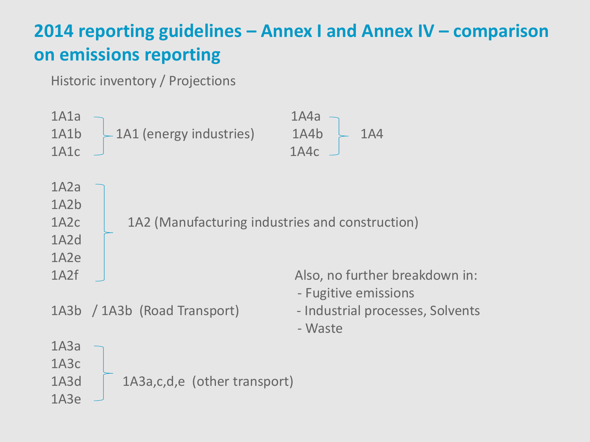#### **2014 reporting guidelines – Annex I and Annex IV – comparison on emissions reporting**

Historic inventory / Projections

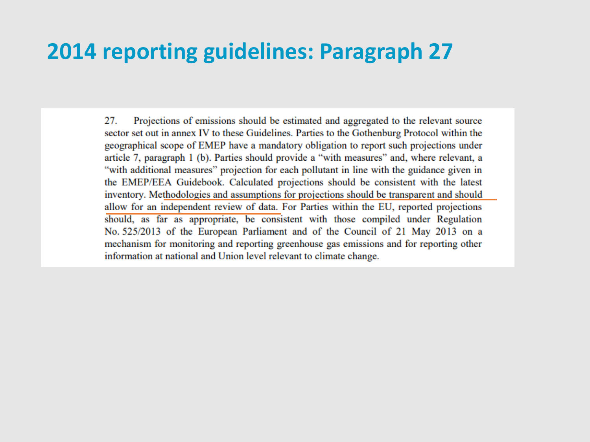#### **2014 reporting guidelines: Paragraph 27**

Projections of emissions should be estimated and aggregated to the relevant source 27. sector set out in annex IV to these Guidelines. Parties to the Gothenburg Protocol within the geographical scope of EMEP have a mandatory obligation to report such projections under article 7, paragraph 1 (b). Parties should provide a "with measures" and, where relevant, a "with additional measures" projection for each pollutant in line with the guidance given in the EMEP/EEA Guidebook. Calculated projections should be consistent with the latest inventory. Methodologies and assumptions for projections should be transparent and should allow for an independent review of data. For Parties within the EU, reported projections should, as far as appropriate, be consistent with those compiled under Regulation No. 525/2013 of the European Parliament and of the Council of 21 May 2013 on a mechanism for monitoring and reporting greenhouse gas emissions and for reporting other information at national and Union level relevant to climate change.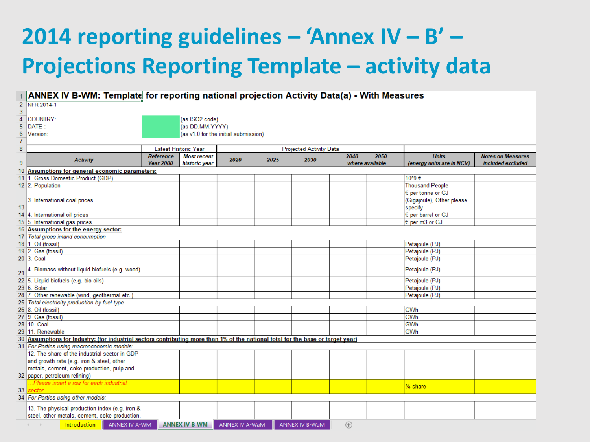## **2014 reporting guidelines – 'Annex IV – B' – Projections Reporting Template – activity data**

|                | ANNEX IV B-WM: Template for reporting national projection Activity Data(a) - With Measures                                        |                                      |                      |                |                                                                |                |                 |  |                           |                                               |  |  |  |
|----------------|-----------------------------------------------------------------------------------------------------------------------------------|--------------------------------------|----------------------|----------------|----------------------------------------------------------------|----------------|-----------------|--|---------------------------|-----------------------------------------------|--|--|--|
|                | 2 NFR 2014-1                                                                                                                      |                                      |                      |                |                                                                |                |                 |  |                           |                                               |  |  |  |
| 3              |                                                                                                                                   |                                      |                      |                |                                                                |                |                 |  |                           |                                               |  |  |  |
| 4              | <b>COUNTRY:</b>                                                                                                                   | (as ISO2 code)                       |                      |                |                                                                |                |                 |  |                           |                                               |  |  |  |
| 5              | <b>IDATE:</b>                                                                                                                     | (as DD.MM.YYYY)                      |                      |                |                                                                |                |                 |  |                           |                                               |  |  |  |
| $6\phantom{1}$ | Version:                                                                                                                          | (as v1.0 for the initial submission) |                      |                |                                                                |                |                 |  |                           |                                               |  |  |  |
| $\overline{7}$ |                                                                                                                                   |                                      |                      |                |                                                                |                |                 |  |                           |                                               |  |  |  |
| 8              |                                                                                                                                   |                                      | Latest Historic Year |                |                                                                |                |                 |  |                           |                                               |  |  |  |
|                |                                                                                                                                   | <b>Reference</b>                     | <b>Most recent</b>   |                | <b>Projected Activity Data</b><br>2040<br>2050<br><b>Units</b> |                |                 |  |                           |                                               |  |  |  |
| 9              | <b>Activity</b>                                                                                                                   | <b>Year 2000</b>                     | historic year        | 2020           | 2025                                                           | 2030           | where available |  | (energy units are in NCV) | <b>Notes on Measures</b><br>included excluded |  |  |  |
|                | 10 Assumptions for general economic parameters:                                                                                   |                                      |                      |                |                                                                |                |                 |  |                           |                                               |  |  |  |
|                | 11 1. Gross Domestic Product (GDP)                                                                                                |                                      |                      |                |                                                                |                |                 |  | 10^9€                     |                                               |  |  |  |
|                | 12 2. Population                                                                                                                  |                                      |                      |                |                                                                |                |                 |  | <b>Thousand People</b>    |                                               |  |  |  |
|                |                                                                                                                                   |                                      |                      |                |                                                                |                |                 |  | € per tonne or GJ         |                                               |  |  |  |
|                |                                                                                                                                   |                                      |                      |                |                                                                |                |                 |  |                           |                                               |  |  |  |
|                | 3. International coal prices                                                                                                      |                                      |                      |                |                                                                |                |                 |  | (Gigajoule), Other please |                                               |  |  |  |
| 13             |                                                                                                                                   |                                      |                      |                |                                                                |                |                 |  | specify                   |                                               |  |  |  |
|                | 14 4. International oil prices                                                                                                    |                                      |                      |                |                                                                |                |                 |  | € per barrel or GJ        |                                               |  |  |  |
|                | 15 5. International gas prices                                                                                                    |                                      |                      |                |                                                                |                |                 |  | € per m3 or GJ            |                                               |  |  |  |
|                | 16 Assumptions for the energy sector:                                                                                             |                                      |                      |                |                                                                |                |                 |  |                           |                                               |  |  |  |
|                | 17 Total gross inland consumption                                                                                                 |                                      |                      |                |                                                                |                |                 |  |                           |                                               |  |  |  |
|                | 18 1. Oil (fossil)                                                                                                                |                                      |                      |                |                                                                |                |                 |  | Petajoule (PJ)            |                                               |  |  |  |
|                | 19 2. Gas (fossil)                                                                                                                |                                      |                      |                |                                                                |                |                 |  | Petajoule (PJ)            |                                               |  |  |  |
|                | 20 3. Coal                                                                                                                        |                                      |                      |                |                                                                |                |                 |  | Petajoule (PJ)            |                                               |  |  |  |
| 21             | 4. Biomass without liquid biofuels (e.g. wood)                                                                                    |                                      |                      |                |                                                                |                |                 |  | Petajoule (PJ)            |                                               |  |  |  |
|                | 22 5. Liquid biofuels (e.g. bio-oils)                                                                                             |                                      |                      |                |                                                                |                |                 |  | Petajoule (PJ)            |                                               |  |  |  |
|                | 23 6. Solar                                                                                                                       |                                      |                      |                |                                                                |                |                 |  | Petajoule (PJ)            |                                               |  |  |  |
|                | 24 7. Other renewable (wind, geothermal etc.)                                                                                     |                                      |                      |                |                                                                |                |                 |  | Petajoule (PJ)            |                                               |  |  |  |
|                | 25 Total electricity production by fuel type                                                                                      |                                      |                      |                |                                                                |                |                 |  |                           |                                               |  |  |  |
|                | 26 8. Oil (fossil)                                                                                                                |                                      |                      |                |                                                                |                |                 |  | GWh                       |                                               |  |  |  |
|                | 27 9. Gas (fossil)                                                                                                                |                                      |                      |                |                                                                |                |                 |  | GWh                       |                                               |  |  |  |
|                | 28 10. Coal                                                                                                                       |                                      |                      |                |                                                                |                |                 |  | GWh                       |                                               |  |  |  |
|                | 29 11. Renewable                                                                                                                  |                                      |                      |                |                                                                |                |                 |  | GWh                       |                                               |  |  |  |
|                | 30 Assumptions for Industry: (for industrial sectors contributing more than 1% of the national total for the base or target year) |                                      |                      |                |                                                                |                |                 |  |                           |                                               |  |  |  |
|                | 31 For Parties using macroeconomic models:                                                                                        |                                      |                      |                |                                                                |                |                 |  |                           |                                               |  |  |  |
|                | 12. The share of the industrial sector in GDP                                                                                     |                                      |                      |                |                                                                |                |                 |  |                           |                                               |  |  |  |
|                | and growth rate (e.g. iron & steel, other                                                                                         |                                      |                      |                |                                                                |                |                 |  |                           |                                               |  |  |  |
|                | metals, cement, coke production, pulp and                                                                                         |                                      |                      |                |                                                                |                |                 |  |                           |                                               |  |  |  |
|                | 32 paper, petroleum refining)                                                                                                     |                                      |                      |                |                                                                |                |                 |  |                           |                                               |  |  |  |
|                | Please insert a row for each industrial                                                                                           |                                      |                      |                |                                                                |                |                 |  |                           |                                               |  |  |  |
| 33             | sector.                                                                                                                           |                                      |                      |                |                                                                |                |                 |  | % share                   |                                               |  |  |  |
|                | 34 For Parties using other models:                                                                                                |                                      |                      |                |                                                                |                |                 |  |                           |                                               |  |  |  |
|                | 13. The physical production index (e.g. iron &                                                                                    |                                      |                      |                |                                                                |                |                 |  |                           |                                               |  |  |  |
|                | steel, other metals, cement, coke production,                                                                                     |                                      |                      |                |                                                                |                |                 |  |                           |                                               |  |  |  |
|                | <b>Introduction</b><br>ANNEX IV A-WM                                                                                              |                                      | <b>ANNEX IV B-WM</b> | ANNEX IV A-WaM |                                                                | ANNEX IV B-WaM |                 |  |                           |                                               |  |  |  |
|                |                                                                                                                                   |                                      |                      |                |                                                                |                | $\bigoplus$     |  |                           |                                               |  |  |  |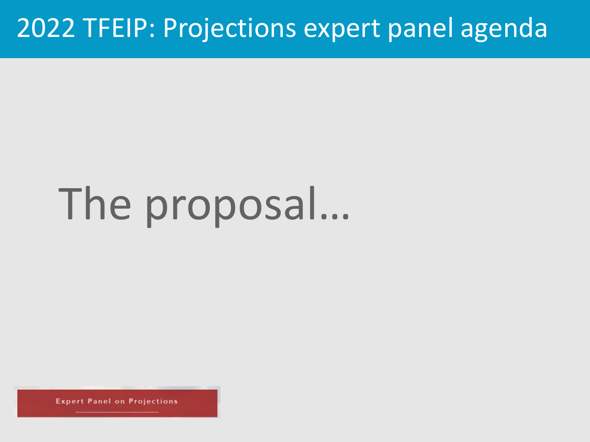# The proposal…

**Expert Panel on Projections**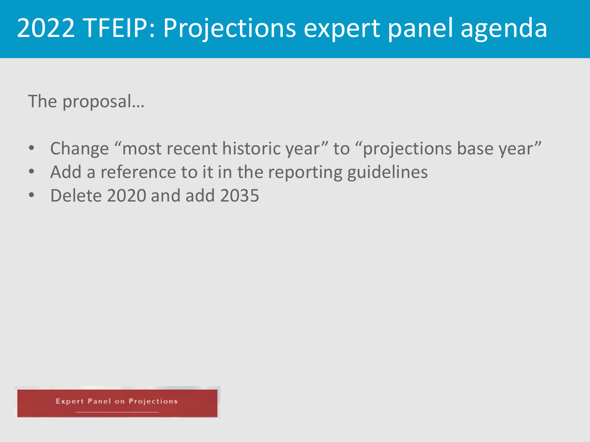The proposal…

- Change "most recent historic year" to "projections base year"
- Add a reference to it in the reporting guidelines
- Delete 2020 and add 2035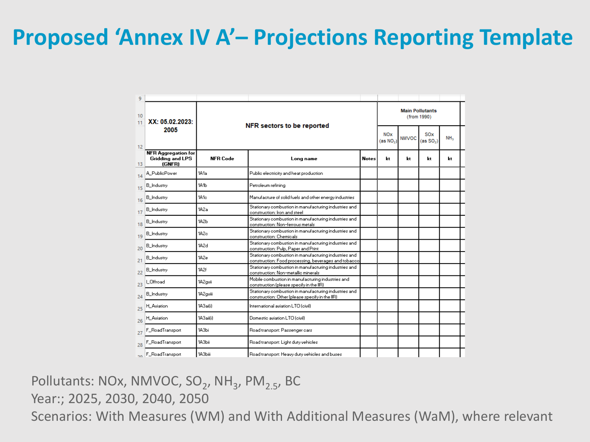### **Proposed 'Annex IV A'– Projections Reporting Template**

| 9               |                                                                 |                   |                                                                                                               |                                       |              |                                     |                 |    |  |  |
|-----------------|-----------------------------------------------------------------|-------------------|---------------------------------------------------------------------------------------------------------------|---------------------------------------|--------------|-------------------------------------|-----------------|----|--|--|
| 10<br>11        | XX: 05.02.2023:                                                 |                   | NFR sectors to be reported                                                                                    | <b>Main Pollutants</b><br>(from 1990) |              |                                     |                 |    |  |  |
| 12              | 2005                                                            |                   |                                                                                                               | <b>NOx</b><br>(as NO <sub>2</sub> )   | <b>NMVOC</b> | <b>SOx</b><br>(as SO <sub>2</sub> ) | NH <sub>3</sub> |    |  |  |
| 13              | <b>NFR Aggregation for</b><br><b>Gridding and LPS</b><br>(GNFR) | <b>NFR Code</b>   | Long name                                                                                                     | <b>Notes</b>                          | kt           | kt                                  | kt              | kt |  |  |
| 14              | A_PublicPower                                                   | 1A1a              | Public electricity and heat production                                                                        |                                       |              |                                     |                 |    |  |  |
| 15              | <b>B_Industry</b>                                               | 1A <sub>1</sub> b | Petroleum refining                                                                                            |                                       |              |                                     |                 |    |  |  |
| 16              | <b>B_Industry</b>                                               | 1A1c              | Manufacture of solid fuels and other energy industries                                                        |                                       |              |                                     |                 |    |  |  |
| 17              | <b>B_Industry</b>                                               | 1A2a              | Stationary combustion in manufacturing industries and<br>construction: Iron and steel                         |                                       |              |                                     |                 |    |  |  |
| 18              | <b>B_Industry</b>                                               | 1A <sub>2</sub> b | Stationary combustion in manufacturing industries and<br>construction: Non-ferrous metals                     |                                       |              |                                     |                 |    |  |  |
| 19              | <b>B_Industry</b>                                               | 1A2c              | Stationary combustion in manufacturing industries and<br>construction: Chemicals                              |                                       |              |                                     |                 |    |  |  |
| 20              | <b>B_Industry</b>                                               | 1A2d              | Stationary combustion in manufacturing industries and<br>construction: Pulp, Paper and Print                  |                                       |              |                                     |                 |    |  |  |
| 21              | <b>B_Industry</b>                                               | 1A2e              | Stationary combustion in manufacturing industries and<br>construction: Food processing, beverages and tobacco |                                       |              |                                     |                 |    |  |  |
| 22              | <b>B_Industry</b>                                               | 1A2f              | Stationary combustion in manufacturing industries and<br>construction: Non-metallic minerals                  |                                       |              |                                     |                 |    |  |  |
| 23              | LOffroad                                                        | 1A2qvii           | Mobile combustion in manufacturing industries and<br>construction (please specify in the IIR).                |                                       |              |                                     |                 |    |  |  |
| 24              | <b>B_Industry</b>                                               | 1A2qviii          | Stationary combustion in manufacturing industries and<br>construction: Other (please specify in the IIR)      |                                       |              |                                     |                 |    |  |  |
| 25              | <b>H_Aviation</b>                                               | 1A3aifil          | International aviation LTO (civil)                                                                            |                                       |              |                                     |                 |    |  |  |
| 26              | <b>H_Aviation</b>                                               | 1A3aii(i)         | Domestic aviation LTO (civil)                                                                                 |                                       |              |                                     |                 |    |  |  |
| 27              | F_RoadTransport                                                 | 1АЗЫ              | Road transport: Passenger cars                                                                                |                                       |              |                                     |                 |    |  |  |
| 28              | F_RoadTransport                                                 | 1АЗЫі             | Road transport: Light duty vehicles                                                                           |                                       |              |                                     |                 |    |  |  |
| 20 <sub>0</sub> | F_RoadTransport                                                 | 1АЗЫіі            | Road transport: Heavy duty vehicles and buses                                                                 |                                       |              |                                     |                 |    |  |  |

#### Pollutants: NOx, NMVOC, SO<sub>2</sub>, NH<sub>3</sub>, PM<sub>2.5</sub>, BC Year:; 2025, 2030, 2040, 2050 Scenarios: With Measures (WM) and With Additional Measures (WaM), where relevant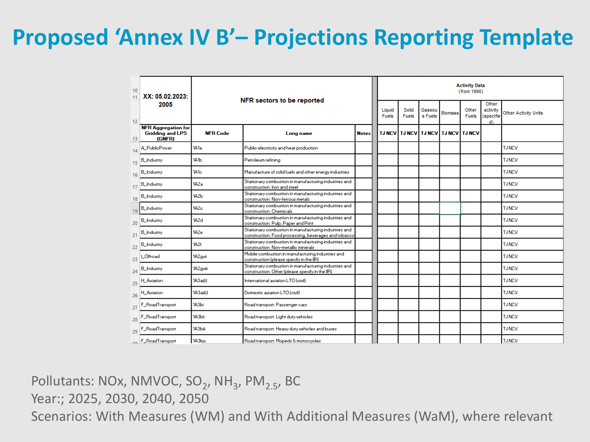### **Proposed 'Annex IV B'– Projections Reporting Template**

| 10<br>11 | XX: 05.02.2023:                                          |                 | NFR sectors to be reported                                                                                    |                        |                       |                   | <b>Activity Data</b><br>(from 1990) |                       |                                      |                             |  |               |  |  |
|----------|----------------------------------------------------------|-----------------|---------------------------------------------------------------------------------------------------------------|------------------------|-----------------------|-------------------|-------------------------------------|-----------------------|--------------------------------------|-----------------------------|--|---------------|--|--|
| 12       | 2005                                                     |                 |                                                                                                               | Liquid<br><b>Fuels</b> | Solid<br><b>Fuels</b> | Gaseou<br>s Fuels | <b>Biomass</b>                      | Other<br><b>Fuels</b> | Other<br>activity<br>(specifie<br>d) | <b>Other Activity Units</b> |  |               |  |  |
| 13       | <b>NFR Aggregation for</b><br>Gridding and LPS<br>(GNFR) | <b>NFR Code</b> | Long name                                                                                                     | <b>Notes</b>           |                       |                   | TJNCV TJNCV TJNCV TJNCV TJNCV       |                       |                                      |                             |  |               |  |  |
| 14       | A_PublicPower                                            | 1A1a            | Public electricity and heat production                                                                        |                        |                       |                   |                                     |                       |                                      |                             |  | <b>TJNCV</b>  |  |  |
| 15       | <b>B_Industry</b>                                        | 1А1Ь            | Petroleum refining                                                                                            |                        |                       |                   |                                     |                       |                                      |                             |  | <b>TJNCV</b>  |  |  |
| 16       | B_Industry                                               | 1A1c            | Manufacture of solid fuels and other energy industries                                                        |                        |                       |                   |                                     |                       |                                      |                             |  | <b>TJ NCV</b> |  |  |
| 17       | <b>B_Industry</b>                                        | 1A2a            | Stationary combustion in manufacturing industries and<br>construction: Iron and steel                         |                        |                       |                   |                                     |                       |                                      |                             |  | <b>TJNCV</b>  |  |  |
| 18       | <b>B_Industry</b>                                        | 1А2Ь            | Stationary combustion in manufacturing industries and<br>construction: Non-ferrous metals                     |                        |                       |                   |                                     |                       |                                      |                             |  | <b>TJNCV</b>  |  |  |
| 19       | <b>B_Industry</b>                                        | 1A2c            | Stationary combustion in manufacturing industries and<br>construction: Chemicals                              |                        |                       |                   |                                     |                       |                                      |                             |  | <b>TJ NCV</b> |  |  |
| 20       | <b>B_Industry</b>                                        | 1A2d            | Stationary combustion in manufacturing industries and<br>construction: Pulp, Paper and Print                  |                        |                       |                   |                                     |                       |                                      |                             |  | <b>TJ NCV</b> |  |  |
| 21       | <b>B_Industry</b>                                        | 1A2e            | Stationary combustion in manufacturing industries and<br>construction: Food processing, beverages and tobacco |                        |                       |                   |                                     |                       |                                      |                             |  | <b>TJNCV</b>  |  |  |
| 22       | <b>B_Industry</b>                                        | 1A2f            | Stationary combustion in manufacturing industries and<br>construction: Non-metallic minerals                  |                        |                       |                   |                                     |                       |                                      |                             |  | <b>TJ NCV</b> |  |  |
| 23       | LOffroad                                                 | 1A2gvii         | Mobile combustion in manufacturing industries and<br>construction (please specify in the IIR)                 |                        |                       |                   |                                     |                       |                                      |                             |  | <b>TJNCV</b>  |  |  |
| 24       | B_Industry                                               | 1A2qviii        | Stationary combustion in manufacturing industries and<br>construction: Other (please specify in the IIR)      |                        |                       |                   |                                     |                       |                                      |                             |  | <b>TJNCV</b>  |  |  |
| 25       | <b>H_Aviation</b>                                        | 1A3ai(i)        | International aviation LTO (civil)                                                                            |                        |                       |                   |                                     |                       |                                      |                             |  | <b>TJNCV</b>  |  |  |
| 26       | <b>H_Aviation</b>                                        | 1A3aii(i)       | Domestic aviation LTO (civil)                                                                                 |                        |                       |                   |                                     |                       |                                      |                             |  | <b>TJNCV</b>  |  |  |
| 27       | F_RoadTransport                                          | 1АЗЫ            | Road transport: Passenger cars                                                                                |                        |                       |                   |                                     |                       |                                      |                             |  | <b>TJNCV</b>  |  |  |
| 28       | F_RoadTransport                                          | 1АЗЫі           | Road transport: Light duty vehicles                                                                           |                        |                       |                   |                                     |                       |                                      |                             |  | <b>TJNCV</b>  |  |  |
| 29       | F_RoadTransport                                          | 1A3biii         | Road transport: Heavy duty vehicles and buses                                                                 |                        |                       |                   |                                     |                       |                                      |                             |  | <b>TJNCV</b>  |  |  |
|          | -n F_RoadTransport                                       | 1A3biv          | Road transport: Mopeds & motorcycles                                                                          |                        |                       |                   |                                     |                       |                                      |                             |  | <b>TJ NCV</b> |  |  |

Pollutants: NOx, NMVOC, SO<sub>2</sub>, NH<sub>3</sub>, PM<sub>2.5</sub>, BC Year:; 2025, 2030, 2040, 2050 Scenarios: With Measures (WM) and With Additional Measures (WaM), where relevant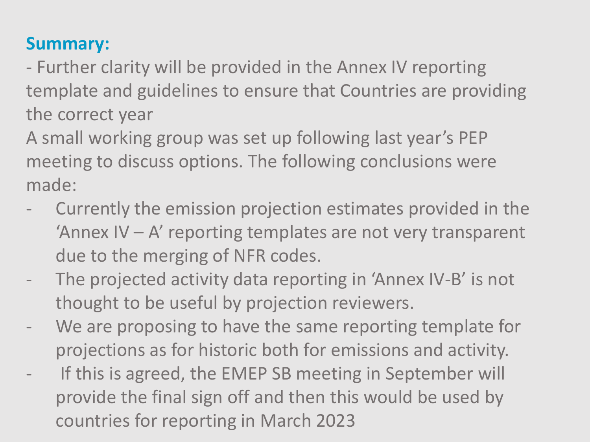#### **Summary:**

- Further clarity will be provided in the Annex IV reporting template and guidelines to ensure that Countries are providing the correct year

A small working group was set up following last year's PEP meeting to discuss options. The following conclusions were made:

- Currently the emission projection estimates provided in the 'Annex IV – A' reporting templates are not very transparent due to the merging of NFR codes.
- The projected activity data reporting in 'Annex IV-B' is not thought to be useful by projection reviewers.
- We are proposing to have the same reporting template for projections as for historic both for emissions and activity.
- If this is agreed, the EMEP SB meeting in September will provide the final sign off and then this would be used by countries for reporting in March 2023